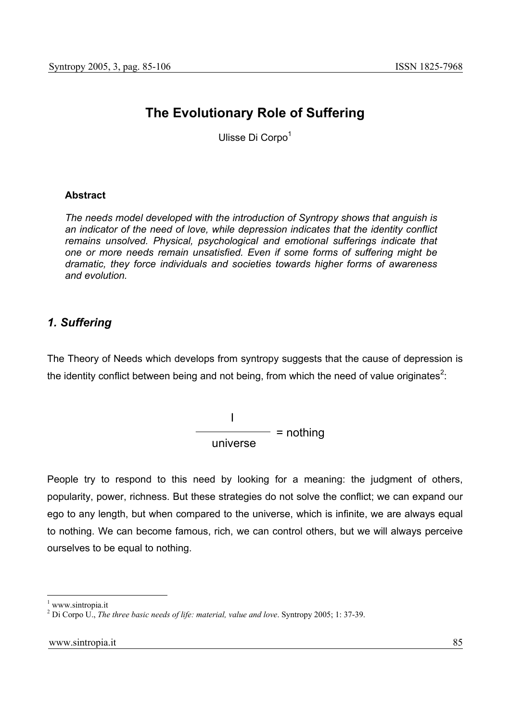# **The Evolutionary Role of Suffering**

Ulisse Di Corpo<sup>1</sup>

#### **Abstract**

*The needs model developed with the introduction of Syntropy shows that anguish is an indicator of the need of love, while depression indicates that the identity conflict remains unsolved. Physical, psychological and emotional sufferings indicate that one or more needs remain unsatisfied. Even if some forms of suffering might be dramatic, they force individuals and societies towards higher forms of awareness and evolution.* 

# *1. Suffering*

The Theory of Needs which develops from syntropy suggests that the cause of depression is the identity conflict between being and not being, from which the need of value originates<sup>2</sup>:

> I  $\frac{1}{\text{universe}}$  = nothing

People try to respond to this need by looking for a meaning: the judgment of others, popularity, power, richness. But these strategies do not solve the conflict; we can expand our ego to any length, but when compared to the universe, which is infinite, we are always equal to nothing. We can become famous, rich, we can control others, but we will always perceive ourselves to be equal to nothing.

<sup>1</sup> www.sintropia.it

<sup>2</sup> Di Corpo U., *The three basic needs of life: material, value and love*. Syntropy 2005; 1: 37-39.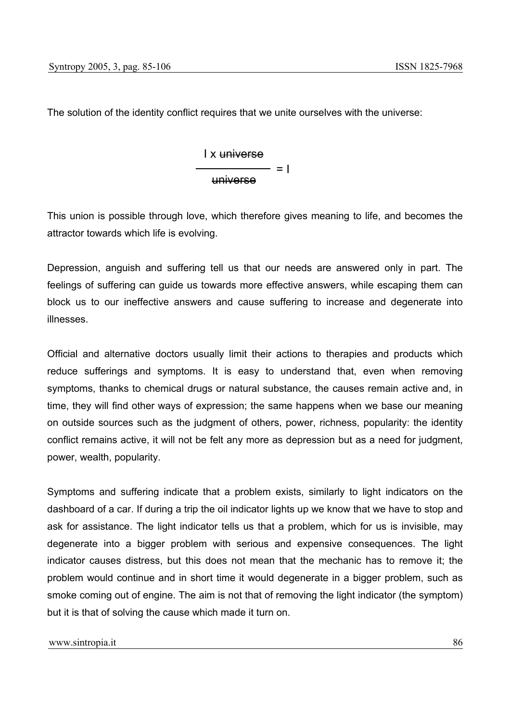The solution of the identity conflict requires that we unite ourselves with the universe:

I x universe universe  $=$   $=$   $\overline{1}$ 

This union is possible through love, which therefore gives meaning to life, and becomes the attractor towards which life is evolving.

Depression, anguish and suffering tell us that our needs are answered only in part. The feelings of suffering can guide us towards more effective answers, while escaping them can block us to our ineffective answers and cause suffering to increase and degenerate into illnesses.

Official and alternative doctors usually limit their actions to therapies and products which reduce sufferings and symptoms. It is easy to understand that, even when removing symptoms, thanks to chemical drugs or natural substance, the causes remain active and, in time, they will find other ways of expression; the same happens when we base our meaning on outside sources such as the judgment of others, power, richness, popularity: the identity conflict remains active, it will not be felt any more as depression but as a need for judgment, power, wealth, popularity.

Symptoms and suffering indicate that a problem exists, similarly to light indicators on the dashboard of a car. If during a trip the oil indicator lights up we know that we have to stop and ask for assistance. The light indicator tells us that a problem, which for us is invisible, may degenerate into a bigger problem with serious and expensive consequences. The light indicator causes distress, but this does not mean that the mechanic has to remove it; the problem would continue and in short time it would degenerate in a bigger problem, such as smoke coming out of engine. The aim is not that of removing the light indicator (the symptom) but it is that of solving the cause which made it turn on.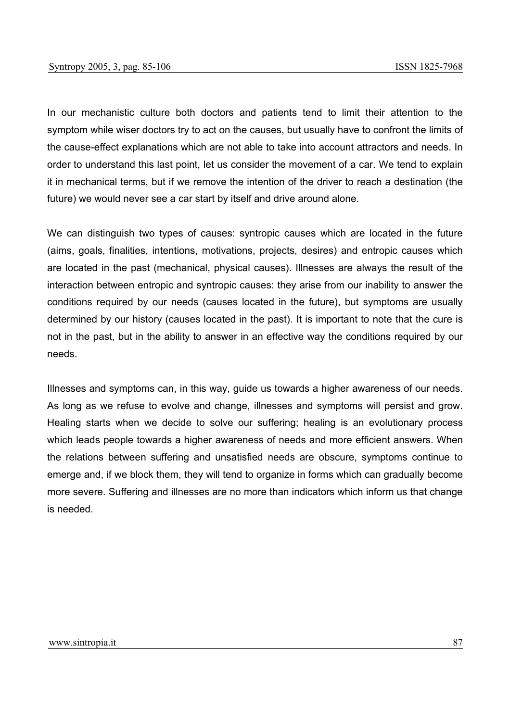In our mechanistic culture both doctors and patients tend to limit their attention to the symptom while wiser doctors try to act on the causes, but usually have to confront the limits of the cause-effect explanations which are not able to take into account attractors and needs. In order to understand this last point, let us consider the movement of a car. We tend to explain it in mechanical terms, but if we remove the intention of the driver to reach a destination (the future) we would never see a car start by itself and drive around alone.

We can distinguish two types of causes: syntropic causes which are located in the future (aims, goals, finalities, intentions, motivations, projects, desires) and entropic causes which are located in the past (mechanical, physical causes). Illnesses are always the result of the interaction between entropic and syntropic causes: they arise from our inability to answer the conditions required by our needs (causes located in the future), but symptoms are usually determined by our history (causes located in the past). It is important to note that the cure is not in the past, but in the ability to answer in an effective way the conditions required by our needs.

Illnesses and symptoms can, in this way, guide us towards a higher awareness of our needs. As long as we refuse to evolve and change, illnesses and symptoms will persist and grow. Healing starts when we decide to solve our suffering; healing is an evolutionary process which leads people towards a higher awareness of needs and more efficient answers. When the relations between suffering and unsatisfied needs are obscure, symptoms continue to emerge and, if we block them, they will tend to organize in forms which can gradually become more severe. Suffering and illnesses are no more than indicators which inform us that change is needed.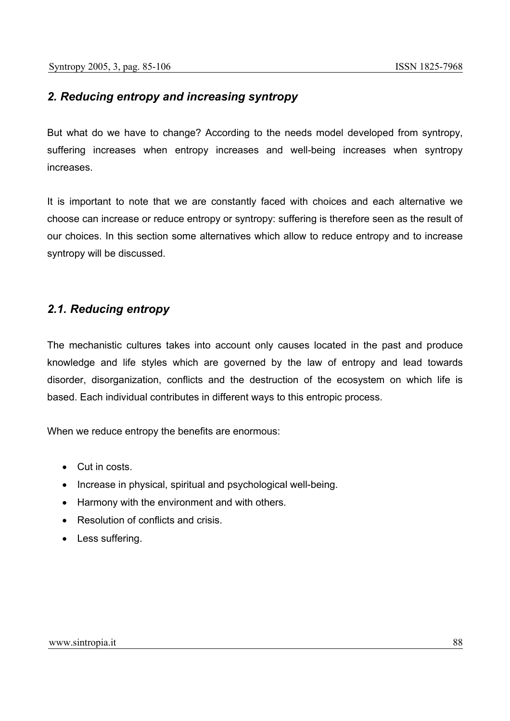# *2. Reducing entropy and increasing syntropy*

But what do we have to change? According to the needs model developed from syntropy, suffering increases when entropy increases and well-being increases when syntropy increases.

It is important to note that we are constantly faced with choices and each alternative we choose can increase or reduce entropy or syntropy: suffering is therefore seen as the result of our choices. In this section some alternatives which allow to reduce entropy and to increase syntropy will be discussed.

# *2.1. Reducing entropy*

The mechanistic cultures takes into account only causes located in the past and produce knowledge and life styles which are governed by the law of entropy and lead towards disorder, disorganization, conflicts and the destruction of the ecosystem on which life is based. Each individual contributes in different ways to this entropic process.

When we reduce entropy the benefits are enormous:

- Cut in costs.
- Increase in physical, spiritual and psychological well-being.
- Harmony with the environment and with others.
- Resolution of conflicts and crisis
- Less suffering.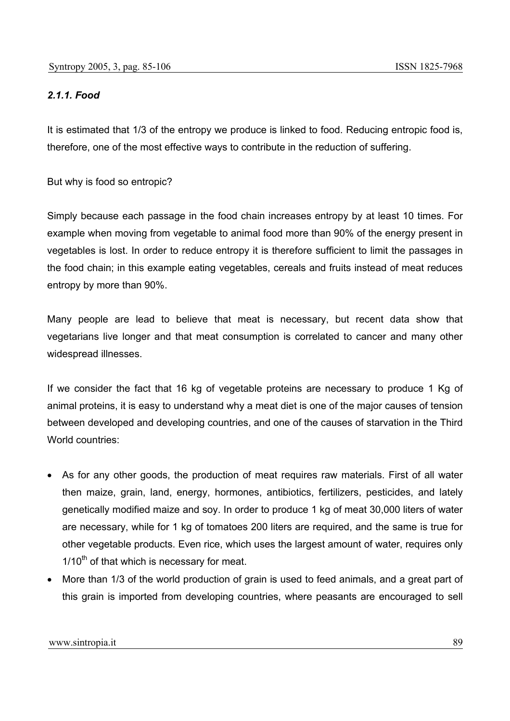## *2.1.1. Food*

It is estimated that 1/3 of the entropy we produce is linked to food. Reducing entropic food is, therefore, one of the most effective ways to contribute in the reduction of suffering.

But why is food so entropic?

Simply because each passage in the food chain increases entropy by at least 10 times. For example when moving from vegetable to animal food more than 90% of the energy present in vegetables is lost. In order to reduce entropy it is therefore sufficient to limit the passages in the food chain; in this example eating vegetables, cereals and fruits instead of meat reduces entropy by more than 90%.

Many people are lead to believe that meat is necessary, but recent data show that vegetarians live longer and that meat consumption is correlated to cancer and many other widespread illnesses.

If we consider the fact that 16 kg of vegetable proteins are necessary to produce 1 Kg of animal proteins, it is easy to understand why a meat diet is one of the major causes of tension between developed and developing countries, and one of the causes of starvation in the Third World countries:

- As for any other goods, the production of meat requires raw materials. First of all water then maize, grain, land, energy, hormones, antibiotics, fertilizers, pesticides, and lately genetically modified maize and soy. In order to produce 1 kg of meat 30,000 liters of water are necessary, while for 1 kg of tomatoes 200 liters are required, and the same is true for other vegetable products. Even rice, which uses the largest amount of water, requires only  $1/10<sup>th</sup>$  of that which is necessary for meat.
- More than 1/3 of the world production of grain is used to feed animals, and a great part of this grain is imported from developing countries, where peasants are encouraged to sell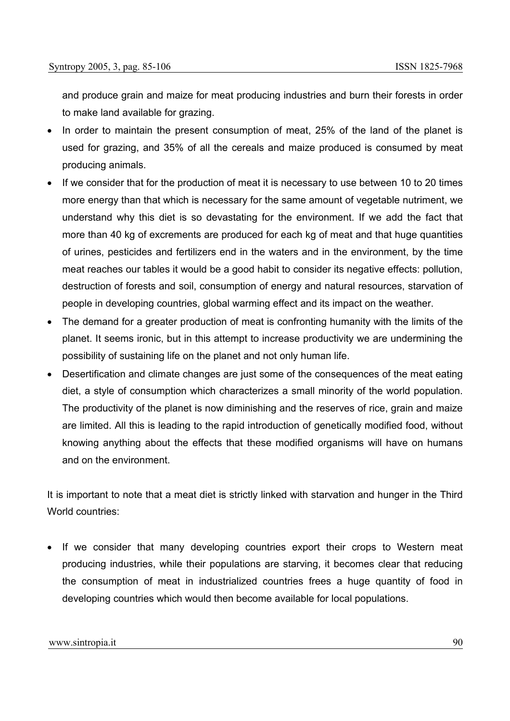and produce grain and maize for meat producing industries and burn their forests in order to make land available for grazing.

- In order to maintain the present consumption of meat, 25% of the land of the planet is used for grazing, and 35% of all the cereals and maize produced is consumed by meat producing animals.
- If we consider that for the production of meat it is necessary to use between 10 to 20 times more energy than that which is necessary for the same amount of vegetable nutriment, we understand why this diet is so devastating for the environment. If we add the fact that more than 40 kg of excrements are produced for each kg of meat and that huge quantities of urines, pesticides and fertilizers end in the waters and in the environment, by the time meat reaches our tables it would be a good habit to consider its negative effects: pollution, destruction of forests and soil, consumption of energy and natural resources, starvation of people in developing countries, global warming effect and its impact on the weather.
- The demand for a greater production of meat is confronting humanity with the limits of the planet. It seems ironic, but in this attempt to increase productivity we are undermining the possibility of sustaining life on the planet and not only human life.
- Desertification and climate changes are just some of the consequences of the meat eating diet, a style of consumption which characterizes a small minority of the world population. The productivity of the planet is now diminishing and the reserves of rice, grain and maize are limited. All this is leading to the rapid introduction of genetically modified food, without knowing anything about the effects that these modified organisms will have on humans and on the environment.

It is important to note that a meat diet is strictly linked with starvation and hunger in the Third World countries:

• If we consider that many developing countries export their crops to Western meat producing industries, while their populations are starving, it becomes clear that reducing the consumption of meat in industrialized countries frees a huge quantity of food in developing countries which would then become available for local populations.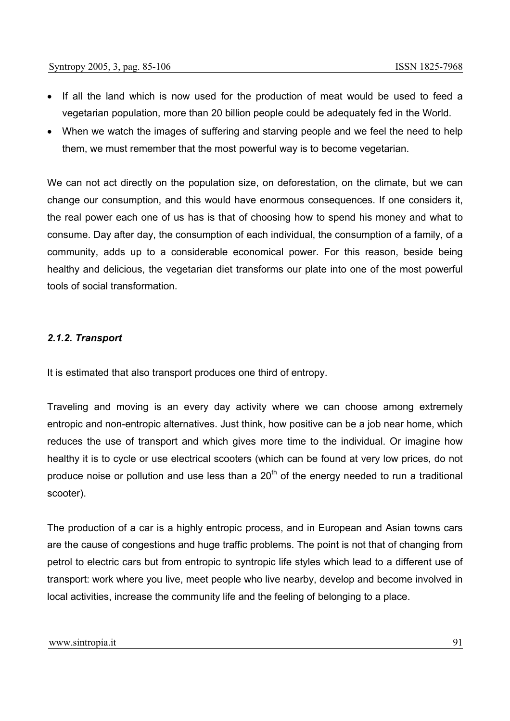- If all the land which is now used for the production of meat would be used to feed a vegetarian population, more than 20 billion people could be adequately fed in the World.
- When we watch the images of suffering and starving people and we feel the need to help them, we must remember that the most powerful way is to become vegetarian.

We can not act directly on the population size, on deforestation, on the climate, but we can change our consumption, and this would have enormous consequences. If one considers it, the real power each one of us has is that of choosing how to spend his money and what to consume. Day after day, the consumption of each individual, the consumption of a family, of a community, adds up to a considerable economical power. For this reason, beside being healthy and delicious, the vegetarian diet transforms our plate into one of the most powerful tools of social transformation.

### *2.1.2. Transport*

It is estimated that also transport produces one third of entropy.

Traveling and moving is an every day activity where we can choose among extremely entropic and non-entropic alternatives. Just think, how positive can be a job near home, which reduces the use of transport and which gives more time to the individual. Or imagine how healthy it is to cycle or use electrical scooters (which can be found at very low prices, do not produce noise or pollution and use less than a  $20<sup>th</sup>$  of the energy needed to run a traditional scooter).

The production of a car is a highly entropic process, and in European and Asian towns cars are the cause of congestions and huge traffic problems. The point is not that of changing from petrol to electric cars but from entropic to syntropic life styles which lead to a different use of transport: work where you live, meet people who live nearby, develop and become involved in local activities, increase the community life and the feeling of belonging to a place.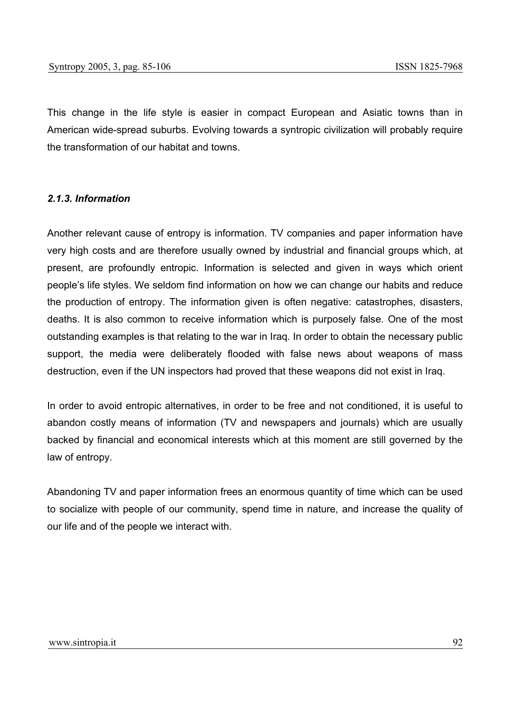This change in the life style is easier in compact European and Asiatic towns than in American wide-spread suburbs. Evolving towards a syntropic civilization will probably require the transformation of our habitat and towns.

#### *2.1.3. Information*

Another relevant cause of entropy is information. TV companies and paper information have very high costs and are therefore usually owned by industrial and financial groups which, at present, are profoundly entropic. Information is selected and given in ways which orient people's life styles. We seldom find information on how we can change our habits and reduce the production of entropy. The information given is often negative: catastrophes, disasters, deaths. It is also common to receive information which is purposely false. One of the most outstanding examples is that relating to the war in Iraq. In order to obtain the necessary public support, the media were deliberately flooded with false news about weapons of mass destruction, even if the UN inspectors had proved that these weapons did not exist in Iraq.

In order to avoid entropic alternatives, in order to be free and not conditioned, it is useful to abandon costly means of information (TV and newspapers and journals) which are usually backed by financial and economical interests which at this moment are still governed by the law of entropy.

Abandoning TV and paper information frees an enormous quantity of time which can be used to socialize with people of our community, spend time in nature, and increase the quality of our life and of the people we interact with.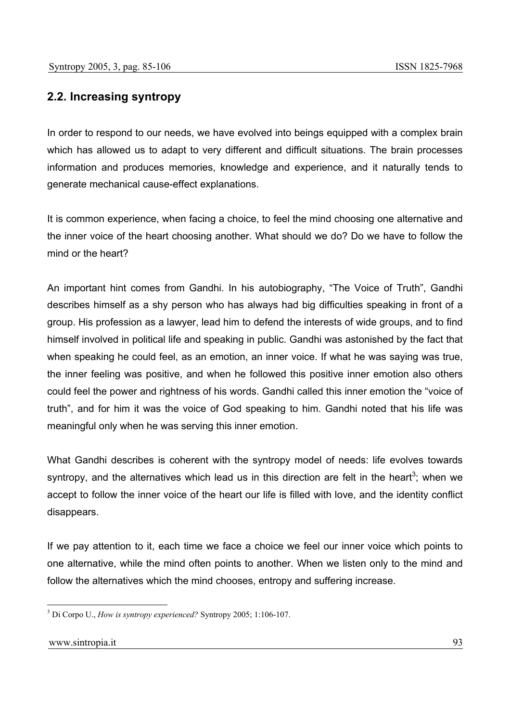# **2.2. Increasing syntropy**

In order to respond to our needs, we have evolved into beings equipped with a complex brain which has allowed us to adapt to very different and difficult situations. The brain processes information and produces memories, knowledge and experience, and it naturally tends to generate mechanical cause-effect explanations.

It is common experience, when facing a choice, to feel the mind choosing one alternative and the inner voice of the heart choosing another. What should we do? Do we have to follow the mind or the heart?

An important hint comes from Gandhi. In his autobiography, "The Voice of Truth", Gandhi describes himself as a shy person who has always had big difficulties speaking in front of a group. His profession as a lawyer, lead him to defend the interests of wide groups, and to find himself involved in political life and speaking in public. Gandhi was astonished by the fact that when speaking he could feel, as an emotion, an inner voice. If what he was saying was true, the inner feeling was positive, and when he followed this positive inner emotion also others could feel the power and rightness of his words. Gandhi called this inner emotion the "voice of truth", and for him it was the voice of God speaking to him. Gandhi noted that his life was meaningful only when he was serving this inner emotion.

What Gandhi describes is coherent with the syntropy model of needs: life evolves towards syntropy, and the alternatives which lead us in this direction are felt in the heart<sup>3</sup>; when we accept to follow the inner voice of the heart our life is filled with love, and the identity conflict disappears.

If we pay attention to it, each time we face a choice we feel our inner voice which points to one alternative, while the mind often points to another. When we listen only to the mind and follow the alternatives which the mind chooses, entropy and suffering increase.

<sup>3</sup> Di Corpo U., *How is syntropy experienced?* Syntropy 2005; 1:106-107.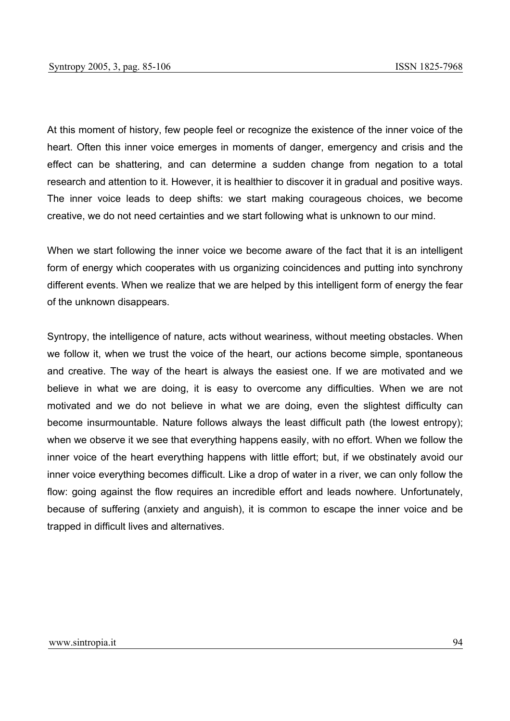At this moment of history, few people feel or recognize the existence of the inner voice of the heart. Often this inner voice emerges in moments of danger, emergency and crisis and the effect can be shattering, and can determine a sudden change from negation to a total research and attention to it. However, it is healthier to discover it in gradual and positive ways. The inner voice leads to deep shifts: we start making courageous choices, we become creative, we do not need certainties and we start following what is unknown to our mind.

When we start following the inner voice we become aware of the fact that it is an intelligent form of energy which cooperates with us organizing coincidences and putting into synchrony different events. When we realize that we are helped by this intelligent form of energy the fear of the unknown disappears.

Syntropy, the intelligence of nature, acts without weariness, without meeting obstacles. When we follow it, when we trust the voice of the heart, our actions become simple, spontaneous and creative. The way of the heart is always the easiest one. If we are motivated and we believe in what we are doing, it is easy to overcome any difficulties. When we are not motivated and we do not believe in what we are doing, even the slightest difficulty can become insurmountable. Nature follows always the least difficult path (the lowest entropy); when we observe it we see that everything happens easily, with no effort. When we follow the inner voice of the heart everything happens with little effort; but, if we obstinately avoid our inner voice everything becomes difficult. Like a drop of water in a river, we can only follow the flow: going against the flow requires an incredible effort and leads nowhere. Unfortunately, because of suffering (anxiety and anguish), it is common to escape the inner voice and be trapped in difficult lives and alternatives.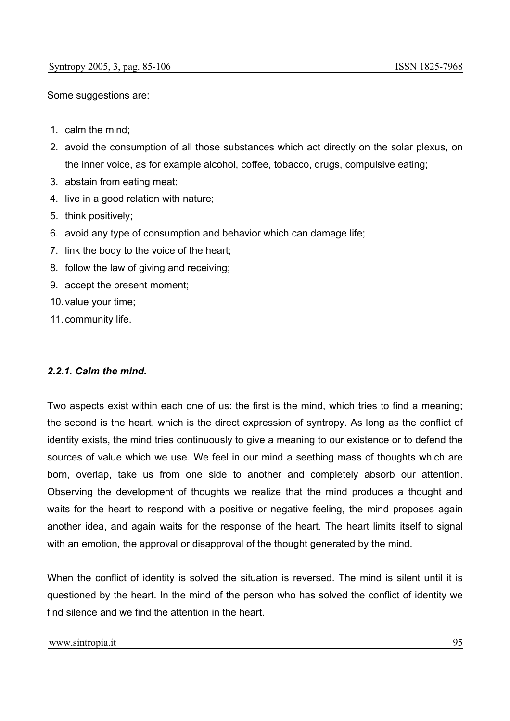Some suggestions are:

- 1. calm the mind;
- 2. avoid the consumption of all those substances which act directly on the solar plexus, on the inner voice, as for example alcohol, coffee, tobacco, drugs, compulsive eating;
- 3. abstain from eating meat;
- 4. live in a good relation with nature;
- 5. think positively;
- 6. avoid any type of consumption and behavior which can damage life;
- 7. link the body to the voice of the heart;
- 8. follow the law of giving and receiving;
- 9. accept the present moment;
- 10. value your time;
- 11. community life.

#### *2.2.1. Calm the mind.*

Two aspects exist within each one of us: the first is the mind, which tries to find a meaning; the second is the heart, which is the direct expression of syntropy. As long as the conflict of identity exists, the mind tries continuously to give a meaning to our existence or to defend the sources of value which we use. We feel in our mind a seething mass of thoughts which are born, overlap, take us from one side to another and completely absorb our attention. Observing the development of thoughts we realize that the mind produces a thought and waits for the heart to respond with a positive or negative feeling, the mind proposes again another idea, and again waits for the response of the heart. The heart limits itself to signal with an emotion, the approval or disapproval of the thought generated by the mind.

When the conflict of identity is solved the situation is reversed. The mind is silent until it is questioned by the heart. In the mind of the person who has solved the conflict of identity we find silence and we find the attention in the heart.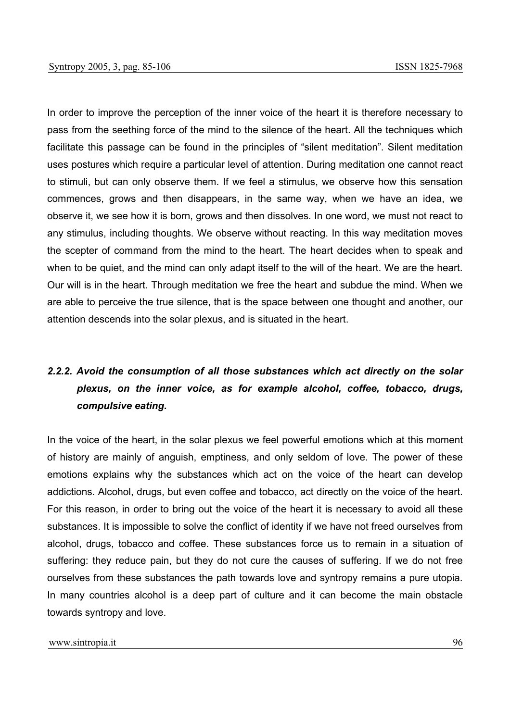In order to improve the perception of the inner voice of the heart it is therefore necessary to pass from the seething force of the mind to the silence of the heart. All the techniques which facilitate this passage can be found in the principles of "silent meditation". Silent meditation uses postures which require a particular level of attention. During meditation one cannot react to stimuli, but can only observe them. If we feel a stimulus, we observe how this sensation commences, grows and then disappears, in the same way, when we have an idea, we observe it, we see how it is born, grows and then dissolves. In one word, we must not react to any stimulus, including thoughts. We observe without reacting. In this way meditation moves the scepter of command from the mind to the heart. The heart decides when to speak and when to be quiet, and the mind can only adapt itself to the will of the heart. We are the heart. Our will is in the heart. Through meditation we free the heart and subdue the mind. When we are able to perceive the true silence, that is the space between one thought and another, our attention descends into the solar plexus, and is situated in the heart.

# *2.2.2. Avoid the consumption of all those substances which act directly on the solar plexus, on the inner voice, as for example alcohol, coffee, tobacco, drugs, compulsive eating.*

In the voice of the heart, in the solar plexus we feel powerful emotions which at this moment of history are mainly of anguish, emptiness, and only seldom of love. The power of these emotions explains why the substances which act on the voice of the heart can develop addictions. Alcohol, drugs, but even coffee and tobacco, act directly on the voice of the heart. For this reason, in order to bring out the voice of the heart it is necessary to avoid all these substances. It is impossible to solve the conflict of identity if we have not freed ourselves from alcohol, drugs, tobacco and coffee. These substances force us to remain in a situation of suffering: they reduce pain, but they do not cure the causes of suffering. If we do not free ourselves from these substances the path towards love and syntropy remains a pure utopia. In many countries alcohol is a deep part of culture and it can become the main obstacle towards syntropy and love.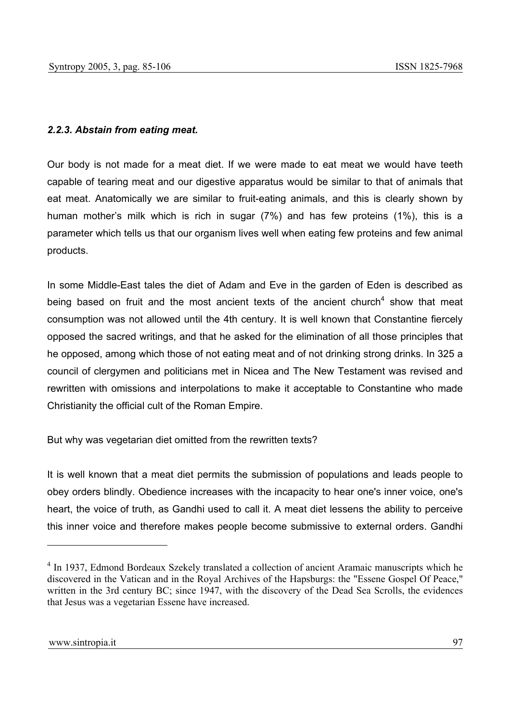#### *2.2.3. Abstain from eating meat.*

Our body is not made for a meat diet. If we were made to eat meat we would have teeth capable of tearing meat and our digestive apparatus would be similar to that of animals that eat meat. Anatomically we are similar to fruit-eating animals, and this is clearly shown by human mother's milk which is rich in sugar (7%) and has few proteins (1%), this is a parameter which tells us that our organism lives well when eating few proteins and few animal products.

In some Middle-East tales the diet of Adam and Eve in the garden of Eden is described as being based on fruit and the most ancient texts of the ancient church<sup>4</sup> show that meat consumption was not allowed until the 4th century. It is well known that Constantine fiercely opposed the sacred writings, and that he asked for the elimination of all those principles that he opposed, among which those of not eating meat and of not drinking strong drinks. In 325 a council of clergymen and politicians met in Nicea and The New Testament was revised and rewritten with omissions and interpolations to make it acceptable to Constantine who made Christianity the official cult of the Roman Empire.

But why was vegetarian diet omitted from the rewritten texts?

It is well known that a meat diet permits the submission of populations and leads people to obey orders blindly. Obedience increases with the incapacity to hear one's inner voice, one's heart, the voice of truth, as Gandhi used to call it. A meat diet lessens the ability to perceive this inner voice and therefore makes people become submissive to external orders. Gandhi

<sup>&</sup>lt;sup>4</sup> In 1937, Edmond Bordeaux Szekely translated a collection of ancient Aramaic manuscripts which he discovered in the Vatican and in the Royal Archives of the Hapsburgs: the "Essene Gospel Of Peace," written in the 3rd century BC; since 1947, with the discovery of the Dead Sea Scrolls, the evidences that Jesus was a vegetarian Essene have increased.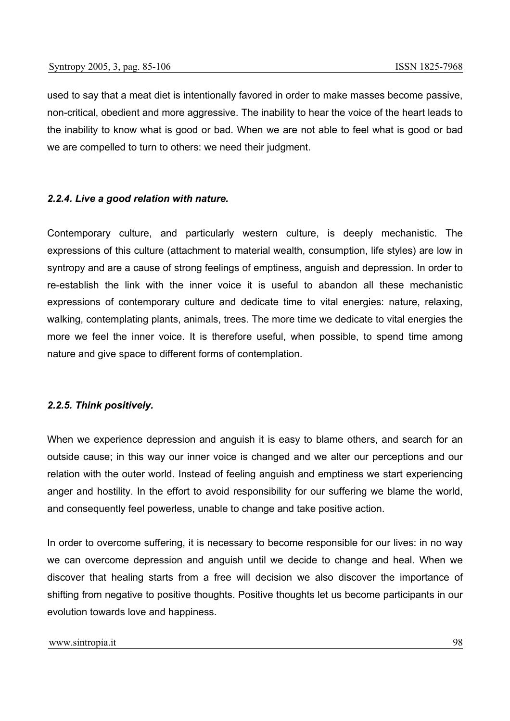used to say that a meat diet is intentionally favored in order to make masses become passive, non-critical, obedient and more aggressive. The inability to hear the voice of the heart leads to the inability to know what is good or bad. When we are not able to feel what is good or bad we are compelled to turn to others: we need their judgment.

#### *2.2.4. Live a good relation with nature.*

Contemporary culture, and particularly western culture, is deeply mechanistic. The expressions of this culture (attachment to material wealth, consumption, life styles) are low in syntropy and are a cause of strong feelings of emptiness, anguish and depression. In order to re-establish the link with the inner voice it is useful to abandon all these mechanistic expressions of contemporary culture and dedicate time to vital energies: nature, relaxing, walking, contemplating plants, animals, trees. The more time we dedicate to vital energies the more we feel the inner voice. It is therefore useful, when possible, to spend time among nature and give space to different forms of contemplation.

## *2.2.5. Think positively.*

When we experience depression and anguish it is easy to blame others, and search for an outside cause; in this way our inner voice is changed and we alter our perceptions and our relation with the outer world. Instead of feeling anguish and emptiness we start experiencing anger and hostility. In the effort to avoid responsibility for our suffering we blame the world, and consequently feel powerless, unable to change and take positive action.

In order to overcome suffering, it is necessary to become responsible for our lives: in no way we can overcome depression and anguish until we decide to change and heal. When we discover that healing starts from a free will decision we also discover the importance of shifting from negative to positive thoughts. Positive thoughts let us become participants in our evolution towards love and happiness.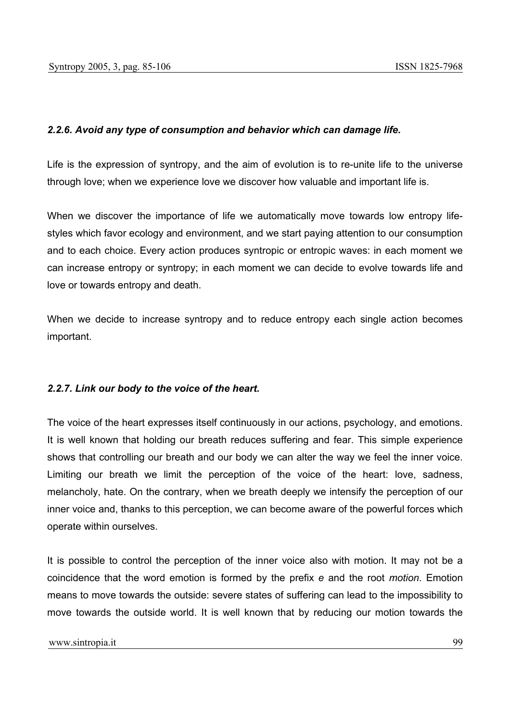### *2.2.6. Avoid any type of consumption and behavior which can damage life.*

Life is the expression of syntropy, and the aim of evolution is to re-unite life to the universe through love; when we experience love we discover how valuable and important life is.

When we discover the importance of life we automatically move towards low entropy lifestyles which favor ecology and environment, and we start paying attention to our consumption and to each choice. Every action produces syntropic or entropic waves: in each moment we can increase entropy or syntropy; in each moment we can decide to evolve towards life and love or towards entropy and death.

When we decide to increase syntropy and to reduce entropy each single action becomes important.

#### *2.2.7. Link our body to the voice of the heart.*

The voice of the heart expresses itself continuously in our actions, psychology, and emotions. It is well known that holding our breath reduces suffering and fear. This simple experience shows that controlling our breath and our body we can alter the way we feel the inner voice. Limiting our breath we limit the perception of the voice of the heart: love, sadness, melancholy, hate. On the contrary, when we breath deeply we intensify the perception of our inner voice and, thanks to this perception, we can become aware of the powerful forces which operate within ourselves.

It is possible to control the perception of the inner voice also with motion. It may not be a coincidence that the word emotion is formed by the prefix *e* and the root *motion*. Emotion means to move towards the outside: severe states of suffering can lead to the impossibility to move towards the outside world. It is well known that by reducing our motion towards the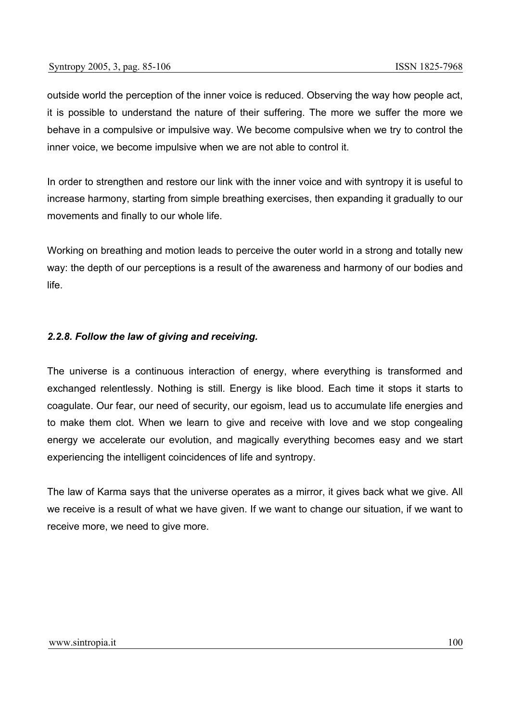outside world the perception of the inner voice is reduced. Observing the way how people act, it is possible to understand the nature of their suffering. The more we suffer the more we behave in a compulsive or impulsive way. We become compulsive when we try to control the inner voice, we become impulsive when we are not able to control it.

In order to strengthen and restore our link with the inner voice and with syntropy it is useful to increase harmony, starting from simple breathing exercises, then expanding it gradually to our movements and finally to our whole life.

Working on breathing and motion leads to perceive the outer world in a strong and totally new way: the depth of our perceptions is a result of the awareness and harmony of our bodies and life.

### *2.2.8. Follow the law of giving and receiving.*

The universe is a continuous interaction of energy, where everything is transformed and exchanged relentlessly. Nothing is still. Energy is like blood. Each time it stops it starts to coagulate. Our fear, our need of security, our egoism, lead us to accumulate life energies and to make them clot. When we learn to give and receive with love and we stop congealing energy we accelerate our evolution, and magically everything becomes easy and we start experiencing the intelligent coincidences of life and syntropy.

The law of Karma says that the universe operates as a mirror, it gives back what we give. All we receive is a result of what we have given. If we want to change our situation, if we want to receive more, we need to give more.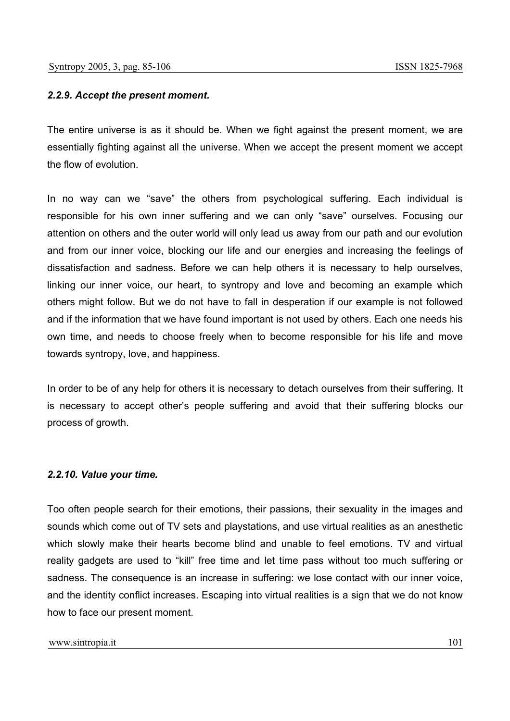#### *2.2.9. Accept the present moment.*

The entire universe is as it should be. When we fight against the present moment, we are essentially fighting against all the universe. When we accept the present moment we accept the flow of evolution.

In no way can we "save" the others from psychological suffering. Each individual is responsible for his own inner suffering and we can only "save" ourselves. Focusing our attention on others and the outer world will only lead us away from our path and our evolution and from our inner voice, blocking our life and our energies and increasing the feelings of dissatisfaction and sadness. Before we can help others it is necessary to help ourselves, linking our inner voice, our heart, to syntropy and love and becoming an example which others might follow. But we do not have to fall in desperation if our example is not followed and if the information that we have found important is not used by others. Each one needs his own time, and needs to choose freely when to become responsible for his life and move towards syntropy, love, and happiness.

In order to be of any help for others it is necessary to detach ourselves from their suffering. It is necessary to accept other's people suffering and avoid that their suffering blocks our process of growth.

#### *2.2.10. Value your time.*

Too often people search for their emotions, their passions, their sexuality in the images and sounds which come out of TV sets and playstations, and use virtual realities as an anesthetic which slowly make their hearts become blind and unable to feel emotions. TV and virtual reality gadgets are used to "kill" free time and let time pass without too much suffering or sadness. The consequence is an increase in suffering: we lose contact with our inner voice, and the identity conflict increases. Escaping into virtual realities is a sign that we do not know how to face our present moment.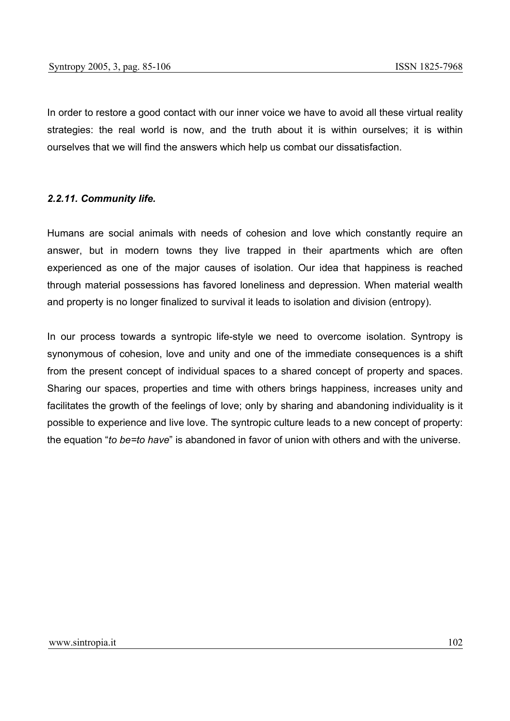In order to restore a good contact with our inner voice we have to avoid all these virtual reality strategies: the real world is now, and the truth about it is within ourselves; it is within ourselves that we will find the answers which help us combat our dissatisfaction.

#### *2.2.11. Community life.*

Humans are social animals with needs of cohesion and love which constantly require an answer, but in modern towns they live trapped in their apartments which are often experienced as one of the major causes of isolation. Our idea that happiness is reached through material possessions has favored loneliness and depression. When material wealth and property is no longer finalized to survival it leads to isolation and division (entropy).

In our process towards a syntropic life-style we need to overcome isolation. Syntropy is synonymous of cohesion, love and unity and one of the immediate consequences is a shift from the present concept of individual spaces to a shared concept of property and spaces. Sharing our spaces, properties and time with others brings happiness, increases unity and facilitates the growth of the feelings of love; only by sharing and abandoning individuality is it possible to experience and live love. The syntropic culture leads to a new concept of property: the equation "*to be=to have*" is abandoned in favor of union with others and with the universe.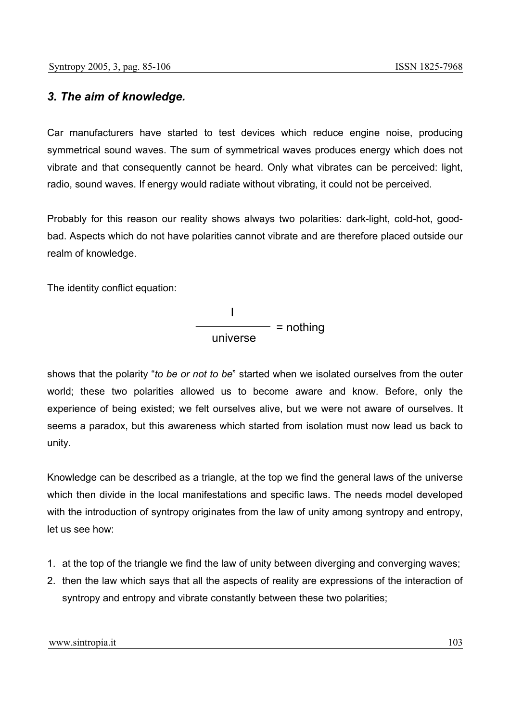# *3. The aim of knowledge.*

Car manufacturers have started to test devices which reduce engine noise, producing symmetrical sound waves. The sum of symmetrical waves produces energy which does not vibrate and that consequently cannot be heard. Only what vibrates can be perceived: light, radio, sound waves. If energy would radiate without vibrating, it could not be perceived.

Probably for this reason our reality shows always two polarities: dark-light, cold-hot, goodbad. Aspects which do not have polarities cannot vibrate and are therefore placed outside our realm of knowledge.

The identity conflict equation:

$$
\frac{1}{\text{universe}} = \text{nothing}
$$

shows that the polarity "*to be or not to be*" started when we isolated ourselves from the outer world; these two polarities allowed us to become aware and know. Before, only the experience of being existed; we felt ourselves alive, but we were not aware of ourselves. It seems a paradox, but this awareness which started from isolation must now lead us back to unity.

Knowledge can be described as a triangle, at the top we find the general laws of the universe which then divide in the local manifestations and specific laws. The needs model developed with the introduction of syntropy originates from the law of unity among syntropy and entropy, let us see how:

- 1. at the top of the triangle we find the law of unity between diverging and converging waves;
- 2. then the law which says that all the aspects of reality are expressions of the interaction of syntropy and entropy and vibrate constantly between these two polarities;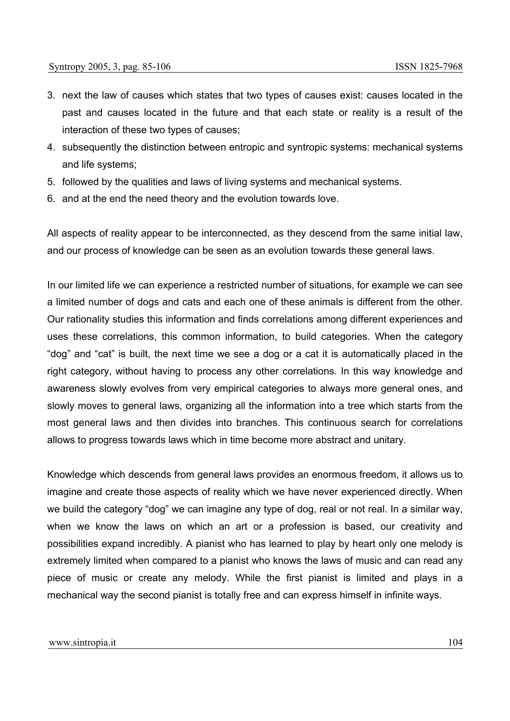- 3. next the law of causes which states that two types of causes exist: causes located in the past and causes located in the future and that each state or reality is a result of the interaction of these two types of causes;
- 4. subsequently the distinction between entropic and syntropic systems: mechanical systems and life systems;
- 5. followed by the qualities and laws of living systems and mechanical systems.
- 6. and at the end the need theory and the evolution towards love.

All aspects of reality appear to be interconnected, as they descend from the same initial law, and our process of knowledge can be seen as an evolution towards these general laws.

In our limited life we can experience a restricted number of situations, for example we can see a limited number of dogs and cats and each one of these animals is different from the other. Our rationality studies this information and finds correlations among different experiences and uses these correlations, this common information, to build categories. When the category "dog" and "cat" is built, the next time we see a dog or a cat it is automatically placed in the right category, without having to process any other correlations. In this way knowledge and awareness slowly evolves from very empirical categories to always more general ones, and slowly moves to general laws, organizing all the information into a tree which starts from the most general laws and then divides into branches. This continuous search for correlations allows to progress towards laws which in time become more abstract and unitary.

Knowledge which descends from general laws provides an enormous freedom, it allows us to imagine and create those aspects of reality which we have never experienced directly. When we build the category "dog" we can imagine any type of dog, real or not real. In a similar way, when we know the laws on which an art or a profession is based, our creativity and possibilities expand incredibly. A pianist who has learned to play by heart only one melody is extremely limited when compared to a pianist who knows the laws of music and can read any piece of music or create any melody. While the first pianist is limited and plays in a mechanical way the second pianist is totally free and can express himself in infinite ways.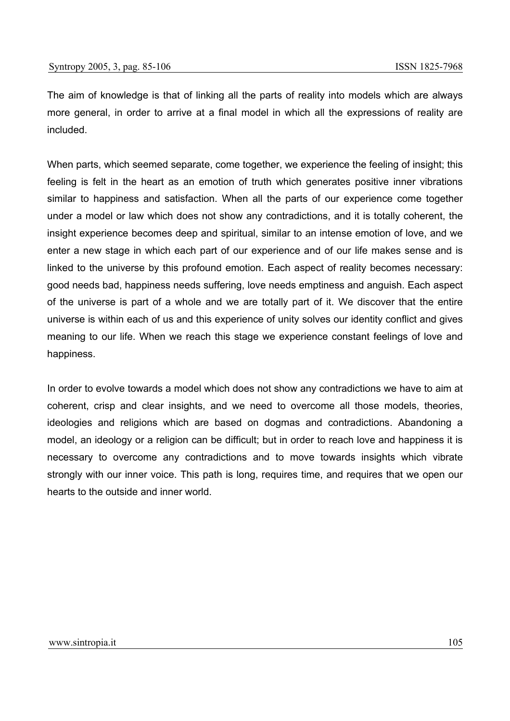The aim of knowledge is that of linking all the parts of reality into models which are always more general, in order to arrive at a final model in which all the expressions of reality are included.

When parts, which seemed separate, come together, we experience the feeling of insight; this feeling is felt in the heart as an emotion of truth which generates positive inner vibrations similar to happiness and satisfaction. When all the parts of our experience come together under a model or law which does not show any contradictions, and it is totally coherent, the insight experience becomes deep and spiritual, similar to an intense emotion of love, and we enter a new stage in which each part of our experience and of our life makes sense and is linked to the universe by this profound emotion. Each aspect of reality becomes necessary: good needs bad, happiness needs suffering, love needs emptiness and anguish. Each aspect of the universe is part of a whole and we are totally part of it. We discover that the entire universe is within each of us and this experience of unity solves our identity conflict and gives meaning to our life. When we reach this stage we experience constant feelings of love and happiness.

In order to evolve towards a model which does not show any contradictions we have to aim at coherent, crisp and clear insights, and we need to overcome all those models, theories, ideologies and religions which are based on dogmas and contradictions. Abandoning a model, an ideology or a religion can be difficult; but in order to reach love and happiness it is necessary to overcome any contradictions and to move towards insights which vibrate strongly with our inner voice. This path is long, requires time, and requires that we open our hearts to the outside and inner world.